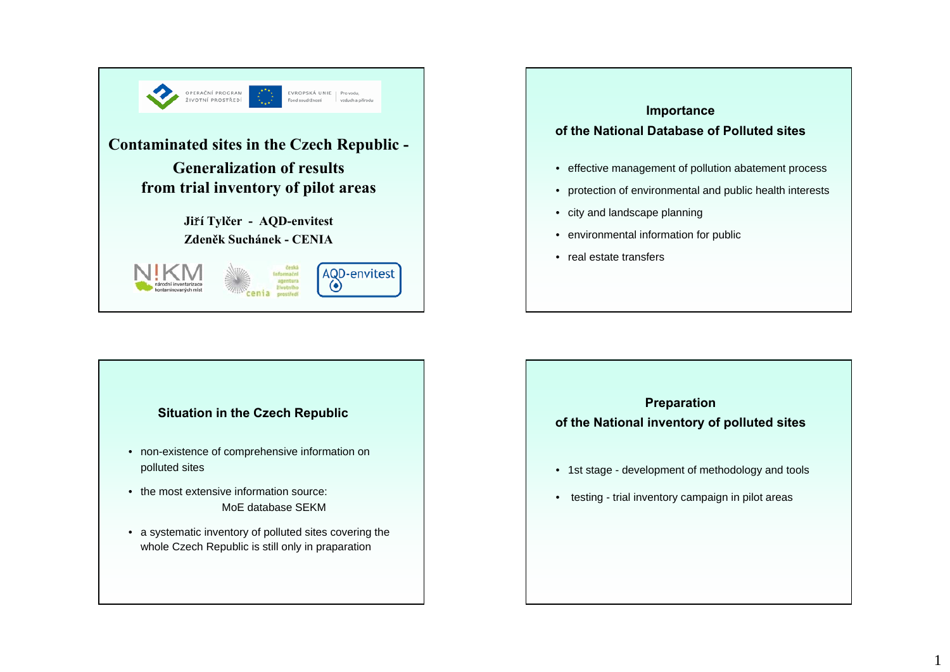

# **Importance of the National Database of Polluted sites**• effective management of pollution abatement process • protection of environmental and public health interests • city and landscape planning • environmental information for public • real estate transfers

#### **Situation in the Czech Republic**

- non-existence of comprehensive information on polluted sites
- the most extensive information source: MoE database SEKM
- a systematic inventory of polluted sites covering the whole Czech Republic is still only in praparation

## **Preparation of the National inventory of polluted sites**

- 1st stage development of methodology and tools
- testing trial inventory campaign in pilot areas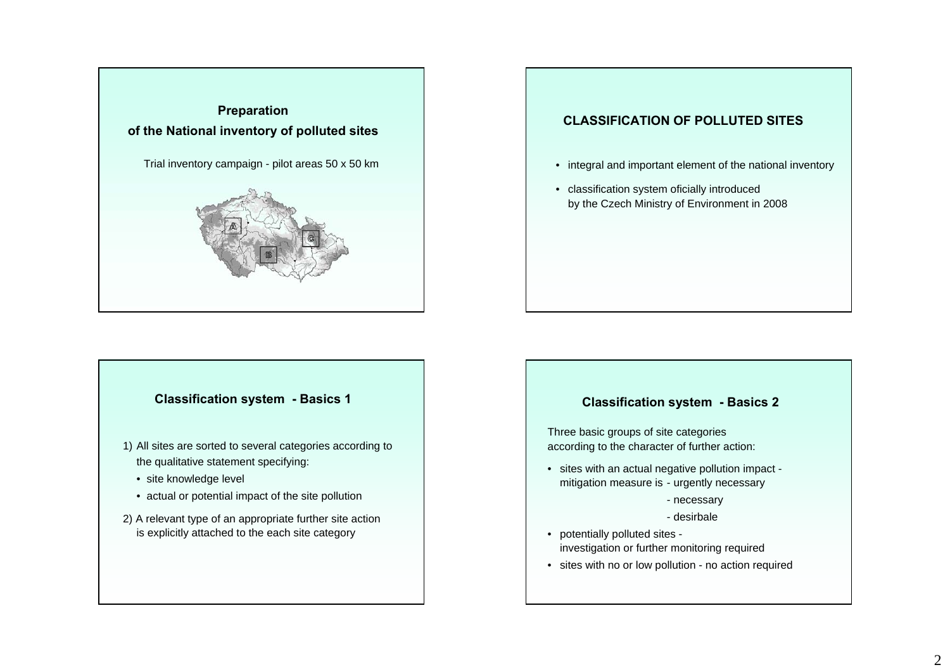

#### **Classification system - Basics 1**

- 1) All sites are sorted to several categories according to the qualitative statement specifying:
	- site knowledge level
	- actual or potential impact of the site pollution
- 2) A relevant type of an appropriate further site action is explicitly attached to the each site category

#### **CLASSIFICATION OF POLLUTED SITES**

- integral and important element of the national inventory
- classification system oficially introduced by the Czech Ministry of Environment in 2008

#### **Classification system - Basics 2**

Three basic groups of site categories according to the character of further action:

• sites with an actual negative pollution impact mitigation measure is - urgently necessary

- necessary

- desirbale
- potentially polluted sites investigation or further monitoring required
- sites with no or low pollution no action required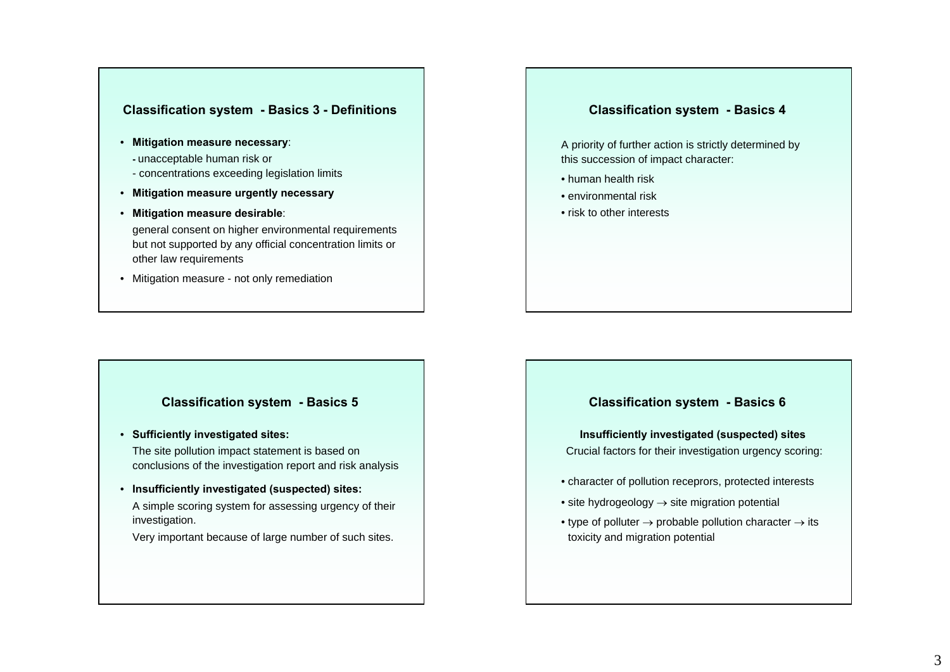#### **Classification system - Basics 3 - Definitions**

- **Mitigation measure necessary**:
	- **-** unacceptable human risk or
	- concentrations exceeding legislation limits
- **Mitigation measure urgently necessary**
- **Mitigation measure desirable**:

general consent on higher environmental requirements but not supported by any official concentration limits or other law requirements

• Mitigation measure - not only remediation

#### **Classification system - Basics 4**

A priority of further action is strictly determined by this succession of impact character:

- human health risk
- environmental risk
- risk to other interests

#### **Classification system - Basics 5**

• **Sufficiently investigated sites:**

The site pollution impact statement is based on conclusions of the investigation report and risk analysis

• **Insufficiently investigated (suspected) sites:**

A simple scoring system for assessing urgency of their investigation.

Very important because of large number of such sites.

#### **Classification system - Basics 6**

**Insufficiently investigated (suspected) sites** Crucial factors for their investigation urgency scoring:

- character of pollution receprors, protected interests
- $\bullet$  site hydrogeology  $\rightarrow$  site migration potential
- $\bullet$  type of polluter  $\rightarrow$  probable pollution character  $\rightarrow$  its toxicity and migration potential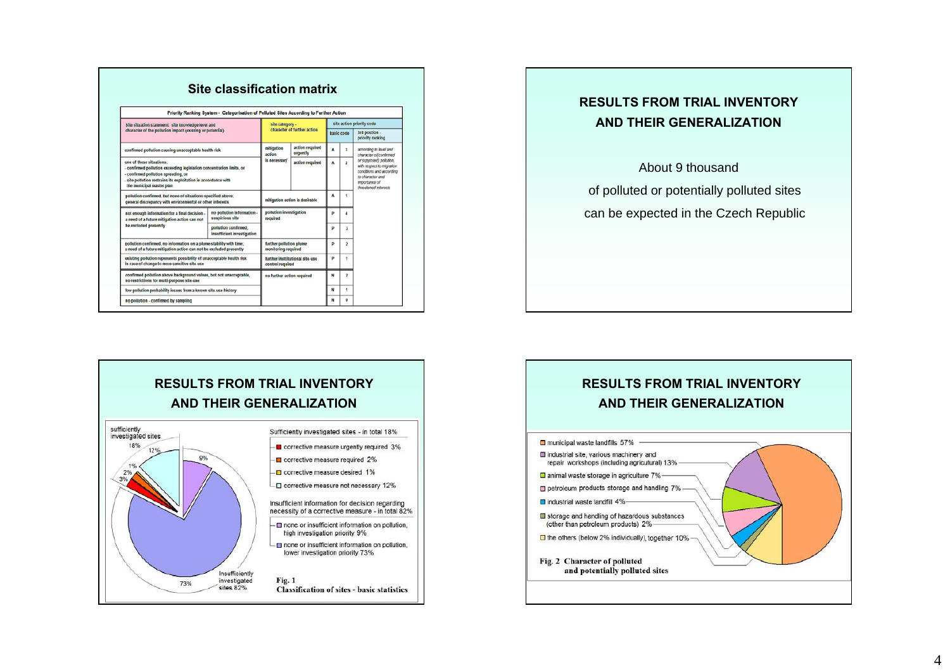|                                                                                                                                                                                                                                    | Priority Ranking System - Categorisation of Polluted Sites According to Further Action |                                                     |                             |                           |                         |                                                                                                                                                                                                   |
|------------------------------------------------------------------------------------------------------------------------------------------------------------------------------------------------------------------------------------|----------------------------------------------------------------------------------------|-----------------------------------------------------|-----------------------------|---------------------------|-------------------------|---------------------------------------------------------------------------------------------------------------------------------------------------------------------------------------------------|
| Site situation statement: site knowledge level and<br>character of the pollution impact (existing or potential)                                                                                                                    |                                                                                        | site category -<br>character of further action      |                             | site action priority code |                         |                                                                                                                                                                                                   |
|                                                                                                                                                                                                                                    |                                                                                        |                                                     |                             | basic code                |                         | 3rd postion.<br>priority ranking                                                                                                                                                                  |
| confirmed pollution causing unacceptable health risk                                                                                                                                                                               |                                                                                        | mitigation<br>action<br>is necessary                | action required<br>urgently | ٨                         | 3                       | according to level and<br>character offconfirmed<br>or supposed) pollution.<br>with respect to migration<br>conditions and according<br>to character and<br>importance of<br>throatoned interests |
| one of these situations:<br>confirmed pollution exceeding legislation concentration limits, or<br>- confirmed pollution spreading, or<br>site pollution restrains its exploitation in accordance with<br>the municipal master plan |                                                                                        |                                                     | action required             | ٨                         | $\overline{\mathbf{2}}$ |                                                                                                                                                                                                   |
| pollution confirmed, but none of situations specified above;<br>general discrepancy with environmental or other interests                                                                                                          |                                                                                        | mitigation action is desirable                      |                             | A                         | ۰                       |                                                                                                                                                                                                   |
| not enough information for a final decision -<br>a need of a future mitigation action can not<br>be excluded presently                                                                                                             | no pollution information -<br>suspicious site                                          | pollution investigation<br>required                 |                             | p                         | 4                       |                                                                                                                                                                                                   |
|                                                                                                                                                                                                                                    | pollution confirmed.<br>insufficient investigation                                     |                                                     |                             | p                         | 3                       |                                                                                                                                                                                                   |
| pollution confirmed, no information on a plume stability with time;<br>a need of a future mitigation action can not be excluded presently                                                                                          |                                                                                        | further pollution plume<br>monitoring required      |                             | p                         | 2                       |                                                                                                                                                                                                   |
| existing pollution represents possibility of unacceptable health risk<br>in case of change to more sensitive site-use                                                                                                              |                                                                                        | further insttitutional site-use<br>control required |                             | D                         | 1                       |                                                                                                                                                                                                   |
| confirmed pollution above background values, bot not unacceptable,<br>no restrictions for multi-purpose site-use                                                                                                                   |                                                                                        | no further action required                          |                             | N                         | 2                       |                                                                                                                                                                                                   |
| low pollution probability issues from a known site-use history                                                                                                                                                                     |                                                                                        |                                                     |                             | N                         | 1                       |                                                                                                                                                                                                   |
| no pollution - confirmed by sampling                                                                                                                                                                                               |                                                                                        |                                                     | N                           | ٥                         |                         |                                                                                                                                                                                                   |

### **RESULTS FROM TRIAL INVENTORY AND THEIR GENERALIZATION**

About 9 thousand of polluted or potentially polluted sites can be expected in the Czech Republic